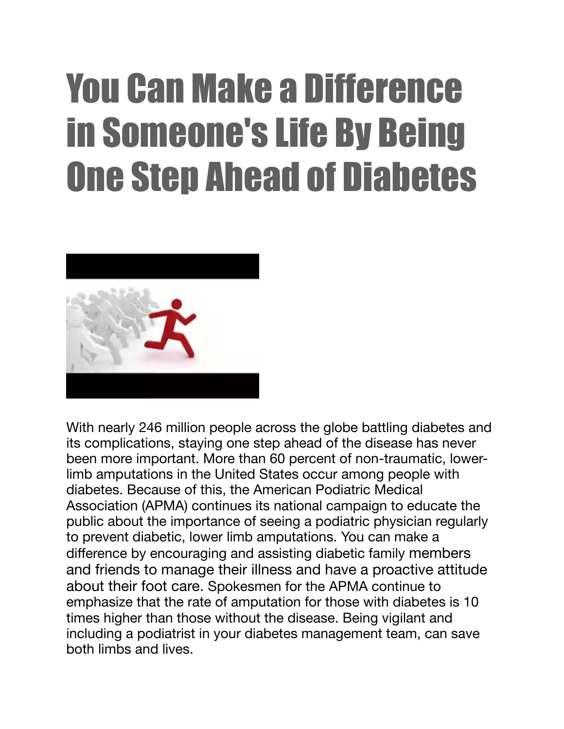## You Can Make a Difference in Someone's Life By Being One Step Ahead of Diabetes



With nearly 246 million people across the globe battling diabetes and its complications, staying one step ahead of the disease has never been more important. More than 60 percent of non-traumatic, lowerlimb amputations in the United States occur among people with diabetes. Because of this, the American Podiatric Medical Association (APMA) continues its national campaign to educate the public about the importance of seeing a podiatric physician regularly to prevent diabetic, lower limb amputations. You can make a difference by encouraging and assisting diabetic family members and friends to manage their illness and have a proactive attitude about their foot care. Spokesmen for the APMA continue to emphasize that the rate of amputation for those with diabetes is 10 times higher than those without the disease. Being vigilant and including a podiatrist in your diabetes management team, can save both limbs and lives.